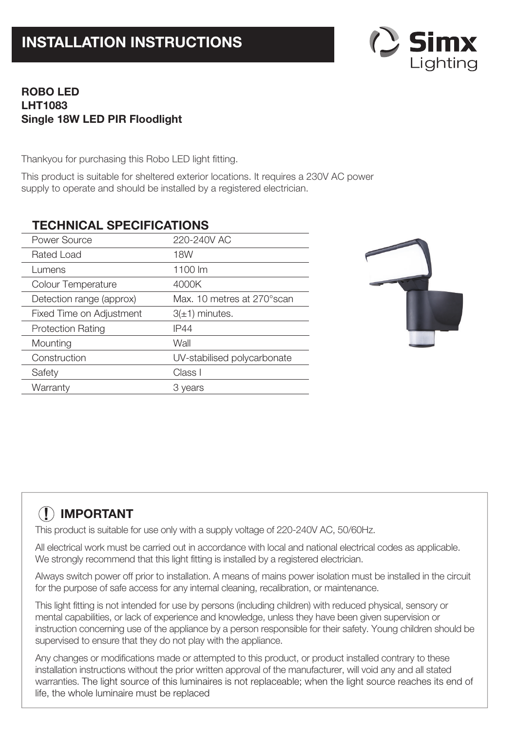

# **ROBO LED LHT1083 Single 18W LED PIR Floodlight**

Thankyou for purchasing this Robo LED light fitting.

This product is suitable for sheltered exterior locations. It requires a 230V AC power supply to operate and should be installed by a registered electrician.

# **TECHNICAL SPECIFICATIONS**

| Power Source             | 220-240V AC                 |
|--------------------------|-----------------------------|
| Rated Load               | 18W                         |
| Lumens                   | 1100 lm                     |
| Colour Temperature       | 4000K                       |
| Detection range (approx) | Max. 10 metres at 270°scan  |
| Fixed Time on Adjustment | $3(\pm 1)$ minutes.         |
| <b>Protection Rating</b> | <b>IP44</b>                 |
| Mounting                 | Wall                        |
| Construction             | UV-stabilised polycarbonate |
| Safety                   | Class I                     |
| Warranty                 | 3 years                     |
|                          |                             |



# **! IMPORTANT**

This product is suitable for use only with a supply voltage of 220-240V AC, 50/60Hz.

All electrical work must be carried out in accordance with local and national electrical codes as applicable. We strongly recommend that this light fitting is installed by a registered electrician.

Always switch power off prior to installation. A means of mains power isolation must be installed in the circuit for the purpose of safe access for any internal cleaning, recalibration, or maintenance.

This light fitting is not intended for use by persons (including children) with reduced physical, sensory or mental capabilities, or lack of experience and knowledge, unless they have been given supervision or instruction concerning use of the appliance by a person responsible for their safety. Young children should be supervised to ensure that they do not play with the appliance.

Any changes or modifications made or attempted to this product, or product installed contrary to these installation instructions without the prior written approval of the manufacturer, will void any and all stated warranties. The light source of this luminaires is not replaceable; when the light source reaches its end of life, the whole luminaire must be replaced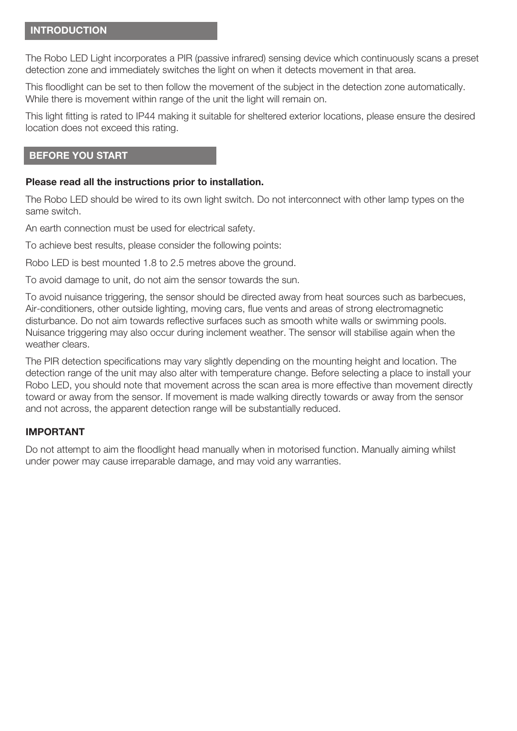#### **INTRODUCTION**

The Robo LED Light incorporates a PIR (passive infrared) sensing device which continuously scans a preset detection zone and immediately switches the light on when it detects movement in that area.

This floodlight can be set to then follow the movement of the subject in the detection zone automatically. While there is movement within range of the unit the light will remain on.

This light fitting is rated to IP44 making it suitable for sheltered exterior locations, please ensure the desired location does not exceed this rating.

#### **BEFORE YOU START**

#### **Please read all the instructions prior to installation.**

The Robo LED should be wired to its own light switch. Do not interconnect with other lamp types on the same switch.

An earth connection must be used for electrical safety.

To achieve best results, please consider the following points:

Robo LED is best mounted 1.8 to 2.5 metres above the ground.

To avoid damage to unit, do not aim the sensor towards the sun.

To avoid nuisance triggering, the sensor should be directed away from heat sources such as barbecues, Air-conditioners, other outside lighting, moving cars, flue vents and areas of strong electromagnetic disturbance. Do not aim towards reflective surfaces such as smooth white walls or swimming pools. Nuisance triggering may also occur during inclement weather. The sensor will stabilise again when the weather clears.

The PIR detection specifications may vary slightly depending on the mounting height and location. The detection range of the unit may also alter with temperature change. Before selecting a place to install your Robo LED, you should note that movement across the scan area is more effective than movement directly toward or away from the sensor. If movement is made walking directly towards or away from the sensor and not across, the apparent detection range will be substantially reduced.

#### **IMPORTANT**

Do not attempt to aim the floodlight head manually when in motorised function. Manually aiming whilst under power may cause irreparable damage, and may void any warranties.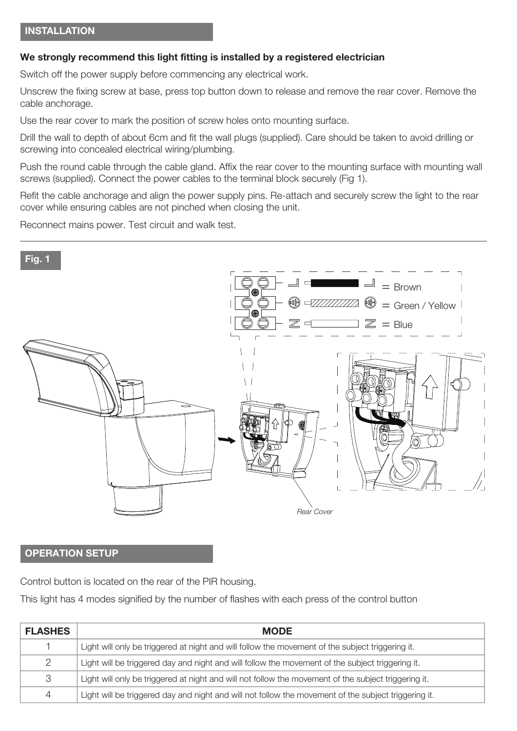#### **We strongly recommend this light fitting is installed by a registered electrician**

Switch off the power supply before commencing any electrical work.

Unscrew the fixing screw at base, press top button down to release and remove the rear cover. Remove the cable anchorage.

Use the rear cover to mark the position of screw holes onto mounting surface.

Drill the wall to depth of about 6cm and fit the wall plugs (supplied). Care should be taken to avoid drilling or screwing into concealed electrical wiring/plumbing.

Push the round cable through the cable gland. Affix the rear cover to the mounting surface with mounting wall screws (supplied). Connect the power cables to the terminal block securely (Fig 1).

Refit the cable anchorage and align the power supply pins. Re-attach and securely screw the light to the rear cover while ensuring cables are not pinched when closing the unit.

Reconnect mains power. Test circuit and walk test.



## **OPERATION SETUP**

Control button is located on the rear of the PIR housing.

This light has 4 modes signified by the number of flashes with each press of the control button

| <b>FLASHES</b> | <b>MODE</b>                                                                                          |
|----------------|------------------------------------------------------------------------------------------------------|
|                | Light will only be triggered at night and will follow the movement of the subject triggering it.     |
| 2              | Light will be triggered day and night and will follow the movement of the subject triggering it.     |
| 3              | Light will only be triggered at night and will not follow the movement of the subject triggering it. |
| 4              | Light will be triggered day and night and will not follow the movement of the subject triggering it. |